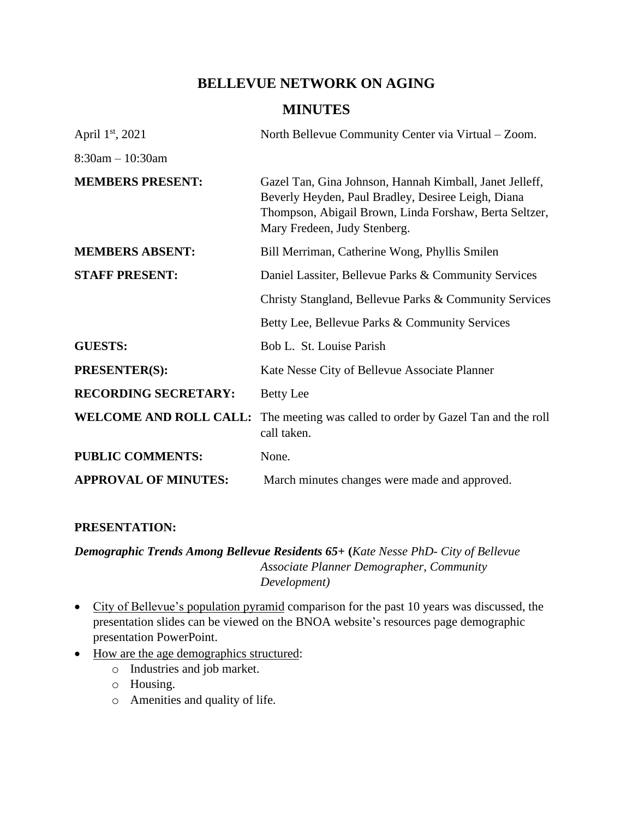# **BELLEVUE NETWORK ON AGING**

# **MINUTES**

| April $1st$ , 2021            | North Bellevue Community Center via Virtual – Zoom.                                                                                                                                                     |
|-------------------------------|---------------------------------------------------------------------------------------------------------------------------------------------------------------------------------------------------------|
| $8:30$ am $-10:30$ am         |                                                                                                                                                                                                         |
| <b>MEMBERS PRESENT:</b>       | Gazel Tan, Gina Johnson, Hannah Kimball, Janet Jelleff,<br>Beverly Heyden, Paul Bradley, Desiree Leigh, Diana<br>Thompson, Abigail Brown, Linda Forshaw, Berta Seltzer,<br>Mary Fredeen, Judy Stenberg. |
| <b>MEMBERS ABSENT:</b>        | Bill Merriman, Catherine Wong, Phyllis Smilen                                                                                                                                                           |
| <b>STAFF PRESENT:</b>         | Daniel Lassiter, Bellevue Parks & Community Services                                                                                                                                                    |
|                               | Christy Stangland, Bellevue Parks & Community Services                                                                                                                                                  |
|                               | Betty Lee, Bellevue Parks & Community Services                                                                                                                                                          |
| <b>GUESTS:</b>                | Bob L. St. Louise Parish                                                                                                                                                                                |
| <b>PRESENTER(S):</b>          | Kate Nesse City of Bellevue Associate Planner                                                                                                                                                           |
| <b>RECORDING SECRETARY:</b>   | <b>Betty Lee</b>                                                                                                                                                                                        |
| <b>WELCOME AND ROLL CALL:</b> | The meeting was called to order by Gazel Tan and the roll<br>call taken.                                                                                                                                |
| <b>PUBLIC COMMENTS:</b>       | None.                                                                                                                                                                                                   |
| <b>APPROVAL OF MINUTES:</b>   | March minutes changes were made and approved.                                                                                                                                                           |

#### **PRESENTATION:**

*Demographic Trends Among Bellevue Residents 65+* **(***Kate Nesse PhD- City of Bellevue Associate Planner Demographer, Community Development)*

- City of Bellevue's population pyramid comparison for the past 10 years was discussed, the presentation slides can be viewed on the BNOA website's resources page demographic presentation PowerPoint.
- How are the age demographics structured:
	- o Industries and job market.
	- o Housing.
	- o Amenities and quality of life.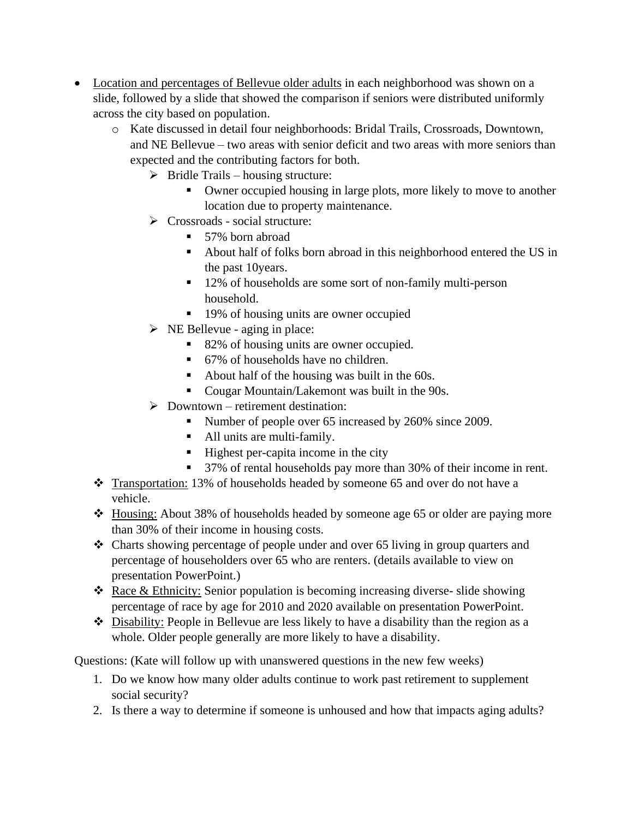- Location and percentages of Bellevue older adults in each neighborhood was shown on a slide, followed by a slide that showed the comparison if seniors were distributed uniformly across the city based on population.
	- o Kate discussed in detail four neighborhoods: Bridal Trails, Crossroads, Downtown, and NE Bellevue – two areas with senior deficit and two areas with more seniors than expected and the contributing factors for both.
		- $\triangleright$  Bridle Trails housing structure:
			- Owner occupied housing in large plots, more likely to move to another location due to property maintenance.
		- ➢ Crossroads social structure:
			- 57% born abroad
			- About half of folks born abroad in this neighborhood entered the US in the past 10years.
			- 12% of households are some sort of non-family multi-person household.
			- 19% of housing units are owner occupied
		- $\triangleright$  NE Bellevue aging in place:
			- 82% of housing units are owner occupied.
			- 67% of households have no children.
			- About half of the housing was built in the 60s.
			- Cougar Mountain/Lakemont was built in the 90s.
		- $\triangleright$  Downtown retirement destination:
			- Number of people over 65 increased by 260% since 2009.
			- All units are multi-family.
			- Highest per-capita income in the city
			- 37% of rental households pay more than 30% of their income in rent.
	- ❖ Transportation: 13% of households headed by someone 65 and over do not have a vehicle.
	- ❖ Housing: About 38% of households headed by someone age 65 or older are paying more than 30% of their income in housing costs.
	- ❖ Charts showing percentage of people under and over 65 living in group quarters and percentage of householders over 65 who are renters. (details available to view on presentation PowerPoint.)
	- ❖ Race & Ethnicity: Senior population is becoming increasing diverse- slide showing percentage of race by age for 2010 and 2020 available on presentation PowerPoint.
	- ❖ Disability: People in Bellevue are less likely to have a disability than the region as a whole. Older people generally are more likely to have a disability.

Questions: (Kate will follow up with unanswered questions in the new few weeks)

- 1. Do we know how many older adults continue to work past retirement to supplement social security?
- 2. Is there a way to determine if someone is unhoused and how that impacts aging adults?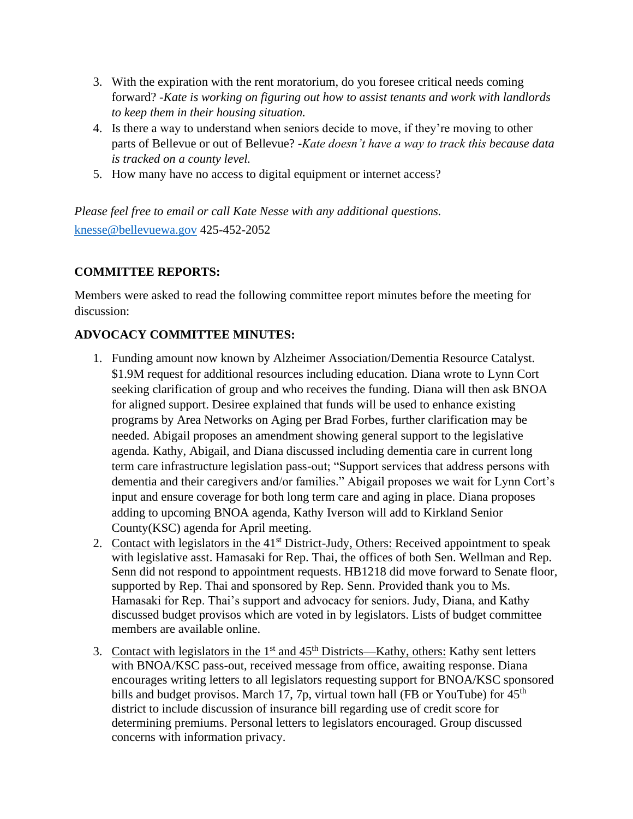- 3. With the expiration with the rent moratorium, do you foresee critical needs coming forward? *-Kate is working on figuring out how to assist tenants and work with landlords to keep them in their housing situation.*
- 4. Is there a way to understand when seniors decide to move, if they're moving to other parts of Bellevue or out of Bellevue? -*Kate doesn't have a way to track this because data is tracked on a county level.*
- 5. How many have no access to digital equipment or internet access?

*Please feel free to email or call Kate Nesse with any additional questions.* [knesse@bellevuewa.gov](mailto:knesse@bellevuewa.gov) 425-452-2052

#### **COMMITTEE REPORTS:**

Members were asked to read the following committee report minutes before the meeting for discussion:

## **ADVOCACY COMMITTEE MINUTES:**

- 1. Funding amount now known by Alzheimer Association/Dementia Resource Catalyst. \$1.9M request for additional resources including education. Diana wrote to Lynn Cort seeking clarification of group and who receives the funding. Diana will then ask BNOA for aligned support. Desiree explained that funds will be used to enhance existing programs by Area Networks on Aging per Brad Forbes, further clarification may be needed. Abigail proposes an amendment showing general support to the legislative agenda. Kathy, Abigail, and Diana discussed including dementia care in current long term care infrastructure legislation pass-out; "Support services that address persons with dementia and their caregivers and/or families." Abigail proposes we wait for Lynn Cort's input and ensure coverage for both long term care and aging in place. Diana proposes adding to upcoming BNOA agenda, Kathy Iverson will add to Kirkland Senior County(KSC) agenda for April meeting.
- 2. Contact with legislators in the 41<sup>st</sup> District-Judy, Others: Received appointment to speak with legislative asst. Hamasaki for Rep. Thai, the offices of both Sen. Wellman and Rep. Senn did not respond to appointment requests. HB1218 did move forward to Senate floor, supported by Rep. Thai and sponsored by Rep. Senn. Provided thank you to Ms. Hamasaki for Rep. Thai's support and advocacy for seniors. Judy, Diana, and Kathy discussed budget provisos which are voted in by legislators. Lists of budget committee members are available online.
- 3. Contact with legislators in the  $1<sup>st</sup>$  and  $45<sup>th</sup>$  Districts—Kathy, others: Kathy sent letters with BNOA/KSC pass-out, received message from office, awaiting response. Diana encourages writing letters to all legislators requesting support for BNOA/KSC sponsored bills and budget provisos. March 17, 7p, virtual town hall (FB or YouTube) for  $45<sup>th</sup>$ district to include discussion of insurance bill regarding use of credit score for determining premiums. Personal letters to legislators encouraged. Group discussed concerns with information privacy.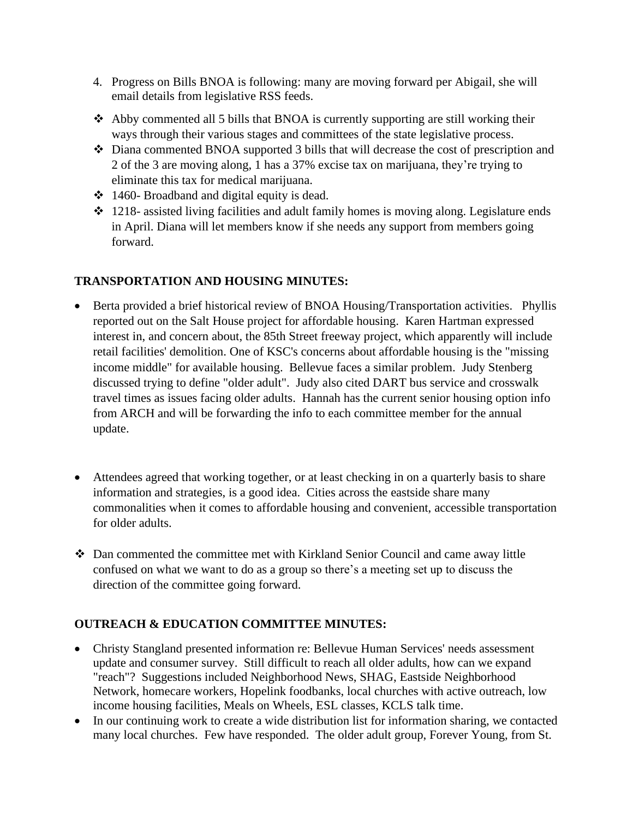- 4. Progress on Bills BNOA is following: many are moving forward per Abigail, she will email details from legislative RSS feeds.
- ❖ Abby commented all 5 bills that BNOA is currently supporting are still working their ways through their various stages and committees of the state legislative process.
- ❖ Diana commented BNOA supported 3 bills that will decrease the cost of prescription and 2 of the 3 are moving along, 1 has a 37% excise tax on marijuana, they're trying to eliminate this tax for medical marijuana.
- ❖ 1460- Broadband and digital equity is dead.
- ❖ 1218- assisted living facilities and adult family homes is moving along. Legislature ends in April. Diana will let members know if she needs any support from members going forward.

## **TRANSPORTATION AND HOUSING MINUTES:**

- Berta provided a brief historical review of BNOA Housing/Transportation activities. Phyllis reported out on the Salt House project for affordable housing. Karen Hartman expressed interest in, and concern about, the 85th Street freeway project, which apparently will include retail facilities' demolition. One of KSC's concerns about affordable housing is the "missing income middle" for available housing. Bellevue faces a similar problem. Judy Stenberg discussed trying to define "older adult". Judy also cited DART bus service and crosswalk travel times as issues facing older adults. Hannah has the current senior housing option info from ARCH and will be forwarding the info to each committee member for the annual update.
- Attendees agreed that working together, or at least checking in on a quarterly basis to share information and strategies, is a good idea. Cities across the eastside share many commonalities when it comes to affordable housing and convenient, accessible transportation for older adults.
- ❖ Dan commented the committee met with Kirkland Senior Council and came away little confused on what we want to do as a group so there's a meeting set up to discuss the direction of the committee going forward.

## **OUTREACH & EDUCATION COMMITTEE MINUTES:**

- Christy Stangland presented information re: Bellevue Human Services' needs assessment update and consumer survey. Still difficult to reach all older adults, how can we expand "reach"? Suggestions included Neighborhood News, SHAG, Eastside Neighborhood Network, homecare workers, Hopelink foodbanks, local churches with active outreach, low income housing facilities, Meals on Wheels, ESL classes, KCLS talk time.
- In our continuing work to create a wide distribution list for information sharing, we contacted many local churches. Few have responded. The older adult group, Forever Young, from St.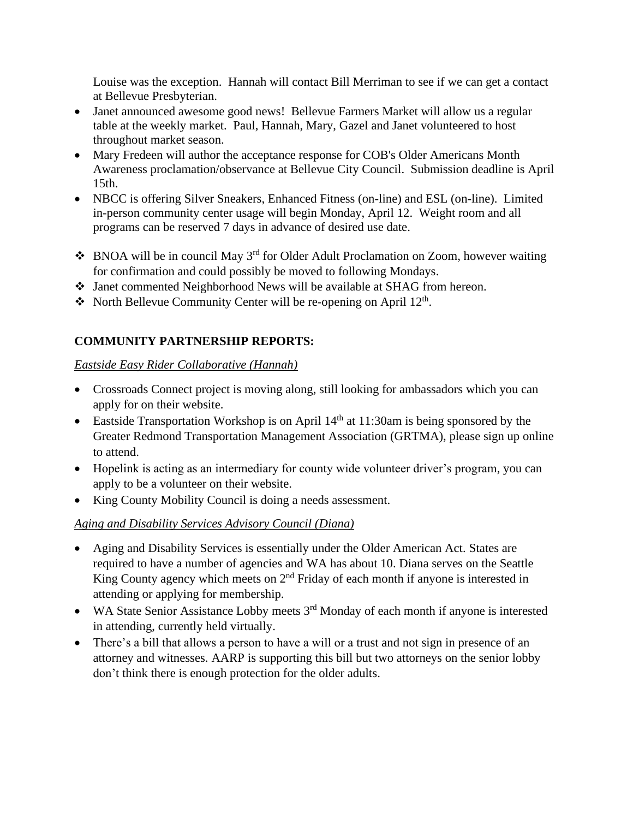Louise was the exception. Hannah will contact Bill Merriman to see if we can get a contact at Bellevue Presbyterian.

- Janet announced awesome good news! Bellevue Farmers Market will allow us a regular table at the weekly market. Paul, Hannah, Mary, Gazel and Janet volunteered to host throughout market season.
- Mary Fredeen will author the acceptance response for COB's Older Americans Month Awareness proclamation/observance at Bellevue City Council. Submission deadline is April 15th.
- NBCC is offering Silver Sneakers, Enhanced Fitness (on-line) and ESL (on-line). Limited in-person community center usage will begin Monday, April 12. Weight room and all programs can be reserved 7 days in advance of desired use date.
- $\cdot$  BNOA will be in council May 3<sup>rd</sup> for Older Adult Proclamation on Zoom, however waiting for confirmation and could possibly be moved to following Mondays.
- ❖ Janet commented Neighborhood News will be available at SHAG from hereon.
- ❖ North Bellevue Community Center will be re-opening on April  $12<sup>th</sup>$ .

# **COMMUNITY PARTNERSHIP REPORTS:**

#### *Eastside Easy Rider Collaborative (Hannah)*

- Crossroads Connect project is moving along, still looking for ambassadors which you can apply for on their website.
- Eastside Transportation Workshop is on April  $14<sup>th</sup>$  at 11:30am is being sponsored by the Greater Redmond Transportation Management Association (GRTMA), please sign up online to attend.
- Hopelink is acting as an intermediary for county wide volunteer driver's program, you can apply to be a volunteer on their website.
- King County Mobility Council is doing a needs assessment.

## *Aging and Disability Services Advisory Council (Diana)*

- Aging and Disability Services is essentially under the Older American Act. States are required to have a number of agencies and WA has about 10. Diana serves on the Seattle King County agency which meets on  $2<sup>nd</sup>$  Friday of each month if anyone is interested in attending or applying for membership.
- WA State Senior Assistance Lobby meets 3<sup>rd</sup> Monday of each month if anyone is interested in attending, currently held virtually.
- There's a bill that allows a person to have a will or a trust and not sign in presence of an attorney and witnesses. AARP is supporting this bill but two attorneys on the senior lobby don't think there is enough protection for the older adults.